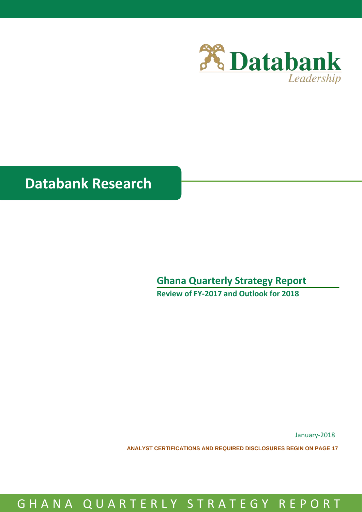

# **Databank Research**

## **Ghana Quarterly Strategy Report**

**Review of FY-2017 and Outlook for 2018**

January-2018

**ANALYST CERTIFICATIONS AND REQUIRED DISCLOSURES BEGIN ON PAGE 17**

# G H A N A Q U A R T E R L Y S T R A T E G Y R E P O R T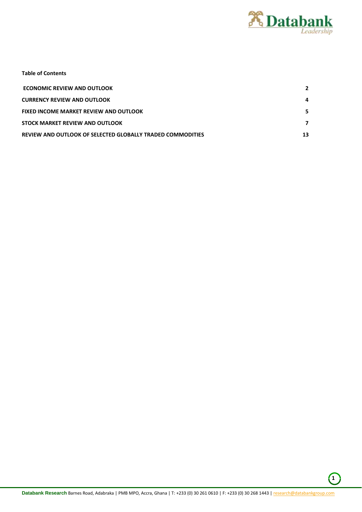

|  |  | <b>Table of Contents</b> |
|--|--|--------------------------|
|--|--|--------------------------|

| <b>ECONOMIC REVIEW AND OUTLOOK</b>                         |    |
|------------------------------------------------------------|----|
| <b>CURRENCY REVIEW AND OUTLOOK</b>                         |    |
| <b>FIXED INCOME MARKET REVIEW AND OUTLOOK</b>              |    |
| STOCK MARKET REVIEW AND OUTLOOK                            |    |
| REVIEW AND OUTLOOK OF SELECTED GLOBALLY TRADED COMMODITIES | 13 |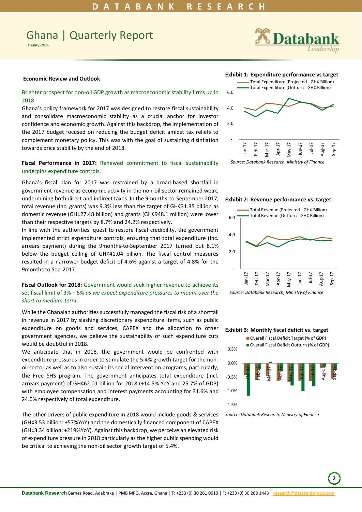## Ghana | Quarterly Report

January-2018



#### <span id="page-2-0"></span>**Economic Review and Outlook**

## Brighter prospect for non-oil GDP growth as macroeconomic stability firms up in 2018

Ghana's policy framework for 2017 was designed to restore fiscal sustainability and consolidate macroeconomic stability as a crucial anchor for investor confidence and economic growth. Against this backdrop, the implementation of the 2017 budget focused on reducing the budget deficit amidst tax reliefs to complement monetary policy. This was with the goal of sustaining disinflation towards price stability by the end of 2018.

## **Fiscal Performance in 2017:** Renewed commitment to fiscal sustainability underpins expenditure controls.

Ghana's fiscal plan for 2017 was restrained by a broad-based shortfall in government revenue as economic activity in the non-oil sector remained weak, undermining both direct and indirect taxes. In the 9months-to-September 2017, total revenue (Inc. grants) was 9.3% less than the target of GH¢31.35 billion as domestic revenue (GH¢27.48 billion) and grants (GH¢948.1 million) were lower than their respective targets by 8.7% and 24.2% respectively.

In line with the authorities' quest to restore fiscal credibility, the government implemented strict expenditure controls, ensuring that total expenditure (Inc. arrears payment) during the 9months-to-September 2017 turned out 8.1% below the budget ceiling of GH¢41.04 billion. The fiscal control measures resulted in a narrower budget deficit of 4.6% against a target of 4.8% for the 9months to Sep-2017.

## **Fiscal Outlook for 2018:** Government would seek higher revenue to achieve its set fiscal limit of 3% – 5% *as we expect expenditure pressures to mount over the short to medium-term.*

While the Ghanaian authorities successfully managed the fiscal risk of a shortfall in revenue in 2017 by slashing discretionary expenditure items, such as public expenditure on goods and services, CAPEX and the allocation to other government agencies, we believe the sustainability of such expenditure cuts would be doubtful in 2018.

We anticipate that in 2018, the government would be confronted with expenditure pressures in order to stimulate the 5.4% growth target for the nonoil sector as well as to also sustain its social intervention programs, particularly, the Free SHS program. The government anticipates total expenditure (incl. arrears payment) of GH¢62.01 billion for 2018 (+14.5% YoY and 25.7% of GDP) with employee compensation and interest payments accounting for 31.6% and 24.0% respectively of total expenditure.

The other drivers of public expenditure in 2018 would include goods & services (GH¢3.53 billion: +57%YoY) and the domestically financed component of CAPEX (GH¢3.34 billion: +219%YoY). Against this backdrop, we perceive an elevated risk of expenditure pressure in 2018 particularly as the higher public spending would be critical to achieving the non-oil sector growth target of 5.4%.

#### **Exhibit 1: Expenditure performance vs target**





**Exhibit 2: Revenue performance vs. target** 



#### **Exhibit 3: Monthly fiscal deficit vs. target**



*Source: Databank Research, Ministry of Finance*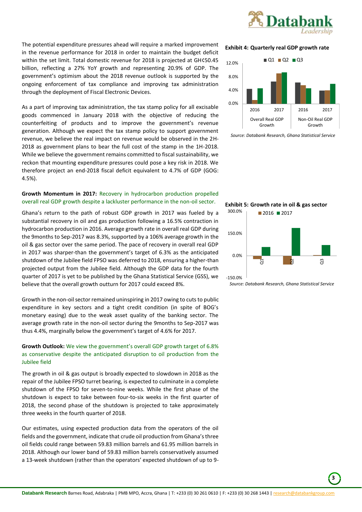

The potential expenditure pressures ahead will require a marked improvement in the revenue performance for 2018 in order to maintain the budget deficit within the set limit. Total domestic revenue for 2018 is projected at GH¢50.45 billion, reflecting a 27% YoY growth and representing 20.9% of GDP. The government's optimism about the 2018 revenue outlook is supported by the ongoing enforcement of tax compliance and improving tax administration through the deployment of Fiscal Electronic Devices.

As a part of improving tax administration, the tax stamp policy for all excisable goods commenced in January 2018 with the objective of reducing the counterfeiting of products and to improve the government's revenue generation. Although we expect the tax stamp policy to support government revenue, we believe the real impact on revenue would be observed in the 2H-2018 as government plans to bear the full cost of the stamp in the 1H-2018. While we believe the government remains committed to fiscal sustainability, we reckon that mounting expenditure pressures could pose a key risk in 2018. We therefore project an end-2018 fiscal deficit equivalent to 4.7% of GDP (GOG: 4.5%).

## **Growth Momentum in 2017:** Recovery in hydrocarbon production propelled overall real GDP growth despite a lackluster performance in the non-oil sector.

Ghana's return to the path of robust GDP growth in 2017 was fueled by a substantial recovery in oil and gas production following a 16.5% contraction in hydrocarbon production in 2016. Average growth rate in overall real GDP during the 9months to Sep-2017 was 8.3%, supported by a 106% average growth in the oil & gas sector over the same period. The pace of recovery in overall real GDP in 2017 was sharper-than the government's target of 6.3% as the anticipated shutdown of the Jubilee field FPSO was deferred to 2018, ensuring a higher-than projected output from the Jubilee field. Although the GDP data for the fourth quarter of 2017 is yet to be published by the Ghana Statistical Service (GSS), we believe that the overall growth outturn for 2017 could exceed 8%.

Growth in the non-oil sector remained uninspiring in 2017 owing to cuts to public expenditure in key sectors and a tight credit condition (in spite of BOG's monetary easing) due to the weak asset quality of the banking sector. The average growth rate in the non-oil sector during the 9months to Sep-2017 was thus 4.4%, marginally below the government's target of 4.6% for 2017.

## **Growth Outlook:** We view the government's overall GDP growth target of 6.8% as conservative despite the anticipated disruption to oil production from the Jubilee field

The growth in oil & gas output is broadly expected to slowdown in 2018 as the repair of the Jubilee FPSO turret bearing, is expected to culminate in a complete shutdown of the FPSO for seven-to-nine weeks. While the first phase of the shutdown is expect to take between four-to-six weeks in the first quarter of 2018, the second phase of the shutdown is projected to take approximately three weeks in the fourth quarter of 2018.

Our estimates, using expected production data from the operators of the oil fields and the government, indicate that crude oil production from Ghana's three oil fields could range between 59.83 million barrels and 61.95 million barrels in 2018. Although our lower band of 59.83 million barrels conservatively assumed a 13-week shutdown (rather than the operators' expected shutdown of up to 9-

## **Exhibit 4: Quarterly real GDP growth rate**



 *Source: Databank Research, Ghana Statistical Service*



 *Source: Databank Research, Ghana Statistical Service*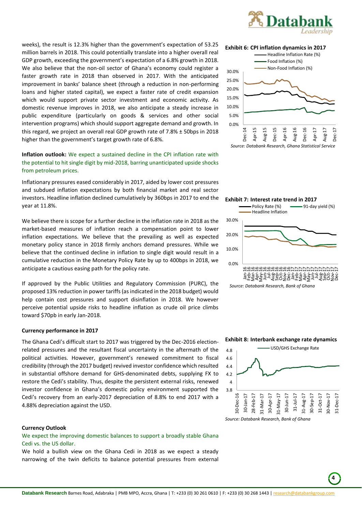

weeks), the result is 12.3% higher than the government's expectation of 53.25 million barrels in 2018. This could potentially translate into a higher overall real GDP growth, exceeding the government's expectation of a 6.8% growth in 2018. We also believe that the non-oil sector of Ghana's economy could register a faster growth rate in 2018 than observed in 2017. With the anticipated improvement in banks' balance sheet (through a reduction in non-performing loans and higher stated capital), we expect a faster rate of credit expansion which would support private sector investment and economic activity. As domestic revenue improves in 2018, we also anticipate a steady increase in public expenditure (particularly on goods & services and other social intervention programs) which should support aggregate demand and growth. In this regard, we project an overall real GDP growth rate of 7.8% ± 50bps in 2018 higher than the government's target growth rate of 6.8%.

**Inflation outlook:** We expect a sustained decline in the CPI inflation rate with the potential to hit single digit by mid-2018, barring unanticipated upside shocks from petroleum prices.

Inflationary pressures eased considerably in 2017, aided by lower cost pressures and subdued inflation expectations by both financial market and real sector investors. Headline inflation declined cumulatively by 360bps in 2017 to end the year at 11.8%.

We believe there is scope for a further decline in the inflation rate in 2018 as the market-based measures of inflation reach a compensation point to lower inflation expectations. We believe that the prevailing as well as expected monetary policy stance in 2018 firmly anchors demand pressures. While we believe that the continued decline in inflation to single digit would result in a cumulative reduction in the Monetary Policy Rate by up to 400bps in 2018, we anticipate a cautious easing path for the policy rate.

If approved by the Public Utilities and Regulatory Commission (PURC), the proposed 13% reduction in power tariffs (as indicated in the 2018 budget) would help contain cost pressures and support disinflation in 2018. We however perceive potential upside risks to headline inflation as crude oil price climbs toward \$70pb in early Jan-2018.

#### **Currency performance in 2017**

The Ghana Cedi's difficult start to 2017 was triggered by the Dec-2016 electionrelated pressures and the resultant fiscal uncertainty in the aftermath of the political activities. However, government's renewed commitment to fiscal credibility (through the 2017 budget) revived investor confidence which resulted in substantial offshore demand for GHS-denominated debts, supplying FX to restore the Cedi's stability. Thus, despite the persistent external risks, renewed investor confidence in Ghana's domestic policy environment supported the Cedi's recovery from an early-2017 depreciation of 8.8% to end 2017 with a 4.88% depreciation against the USD.

## <span id="page-4-0"></span>**Currency Outlook**

We expect the improving domestic balances to support a broadly stable Ghana Cedi vs. the US dollar.

We hold a bullish view on the Ghana Cedi in 2018 as we expect a steady narrowing of the twin deficits to balance potential pressures from external







 *Source: Databank Research, Bank of Ghana*

### **Exhibit 8: Interbank exchange rate dynamics**



 **4**

*Source: Databank Research, Bank of Ghana*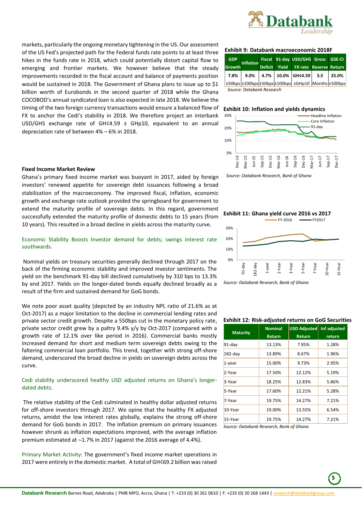

markets, particularly the ongoing monetary tightening in the US. Our assessment of the US Fed's projected path for the Federal funds rate points to at least three hikes in the funds rate in 2018, which could potentially distort capital flow to emerging and frontier markets. We however believe that the steady improvements recorded in the fiscal account and balance of payments position would be sustained in 2018. The Government of Ghana plans to issue up to \$1 billion worth of Eurobonds in the second quarter of 2018 while the Ghana COCOBOD's annual syndicated loan is also expected in late 2018. We believe the timing of the two foreign currency transactions would ensure a balanced flow of FX to anchor the Cedi's stability in 2018. We therefore project an interbank USD/GHS exchange rate of GH¢4.59 ± GHp10, equivalent to an annual depreciation rate of between 4% – 6% in 2018.

## <span id="page-5-0"></span>**Fixed Income Market Review**

Ghana's primary fixed income market was buoyant in 2017, aided by foreign investors' renewed appetite for sovereign debt issuances following a broad stabilization of the macroeconomy. The improved fiscal, inflation, economic growth and exchange rate outlook provided the springboard for government to extend the maturity profile of sovereign debts. In this regard, government successfully extended the maturity profile of domestic debts to 15 years (from 10 years). This resulted in a broad decline in yields across the maturity curve.

Economic Stability Boosts Investor demand for debts; swings interest rate southwards.

Nominal yields on treasury securities generally declined through 2017 on the back of the firming economic stability and improved investor sentiments. The yield on the benchmark 91-day bill declined cumulatively by 310 bps to 13.3% by end 2017. Yields on the longer-dated bonds equally declined broadly as a result of the firm and sustained demand for GoG bonds.

We note poor asset quality (depicted by an industry NPL ratio of 21.6% as at Oct-2017) as a major limitation to the decline in commercial lending rates and private sector credit growth. Despite a 550bps cut in the monetary policy rate, private sector credit grew by a paltry 9.4% y/y by Oct-2017 (compared with a growth rate of 12.1% over like period in 2016). Commercial banks mostly increased demand for short and medium term sovereign debts owing to the faltering commercial loan portfolio. This trend, together with strong off-shore demand, underscored the broad decline in yields on sovereign debts across the curve.

## Cedi stability underscored healthy USD adjusted returns on Ghana's longerdated debts.

The relative stability of the Cedi culminated in healthy dollar adjusted returns for off-shore investors through 2017. We opine that the healthy FX adjusted returns, amidst the low interest rates globally, explains the strong off-shore demand for GoG bonds in 2017. The Inflation premium on primary issuances however shrunk as inflation expectations improved, with the average inflation premium estimated at  $\sim$ 1.7% in 2017 (against the 2016 average of 4.4%).

Primary Market Activity: The government's fixed income market operations in 2017 were entirely in the domestic market. A total of GH¢69.2 billion was raised

#### **Exhibit 9: Databank macroeconomic 2018F**

| <b>GDP</b><br><b>Growth</b> | <b>Inflation</b>          | <b>Deficit</b> | Fiscal 91-day USD/GHS Gross GSE-CI<br>Yield FX rate Reserve Return |  |
|-----------------------------|---------------------------|----------------|--------------------------------------------------------------------|--|
|                             |                           |                | 7.8% 9.0% 4.7% 10.0% GHC4.59 3.5 25.0%                             |  |
|                             |                           |                | ±50bps ±100bps ±50bps ±100bps  ±GHp10 Months ±500bps               |  |
|                             | Source: Databank Research |                |                                                                    |  |

## **Exhibit 10: Inflation and yields dynamics**



*Source: Databank Research, Bank of Ghana*



*Source: Databank Research, Bank of Ghana*

## **Exhibit 12: Risk-adjusted returns on GoG Securities**

| <b>Maturity</b> | <b>Nominal</b><br><b>Return</b> | <b>USD Adjusted</b><br><b>Return</b> | <b>Infadjusted</b><br>return |
|-----------------|---------------------------------|--------------------------------------|------------------------------|
| $91$ -day       | 13.13%                          | 7.95%                                | 1.28%                        |
| $182$ -day      | 13.89%                          | 8.67%                                | 1.96%                        |
| $1$ -year       | 15.00%                          | 9.73%                                | 2.95%                        |
| 2-Year          | 17.50%                          | 12.12%                               | 5.19%                        |
| 3-Year          | 18.25%                          | 12.83%                               | 5.86%                        |
| 5-Year          | 17.60%                          | 12.21%                               | 5.28%                        |
| 7-Year          | 19.75%                          | 14.27%                               | 7.21%                        |
| 10-Year         | 19.00%                          | 13.55%                               | 6.54%                        |
| 15-Year         | 19.75%                          | 14.27%                               | 7.21%                        |

*Source: Databank Research, Bank of Ghana*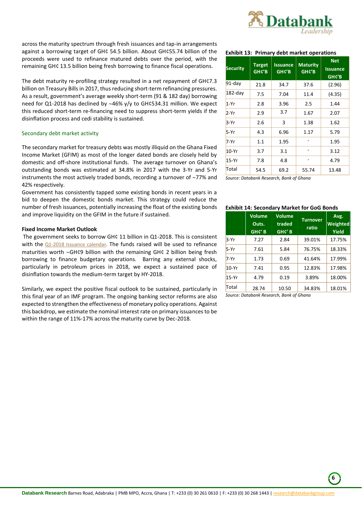

across the maturity spectrum through fresh issuances and tap-in arrangements against a borrowing target of GH¢ 54.5 billion. About GH¢55.74 billion of the proceeds were used to refinance matured debts over the period, with the remaining GH¢ 13.5 billion being fresh borrowing to finance fiscal operations.

The debt maturity re-profiling strategy resulted in a net repayment of GH¢7.3 billion on Treasury Bills in 2017, thus reducing short-term refinancing pressures. As a result, government's average weekly short-term (91 & 182 day) borrowing need for Q1-2018 has declined by ~46% y/y to GH¢534.31 million. We expect this reduced short-term re-financing need to suppress short-term yields if the disinflation process and cedi stability is sustained.

## Secondary debt market activity

The secondary market for treasury debts was mostly illiquid on the Ghana Fixed Income Market (GFIM) as most of the longer dated bonds are closely held by domestic and off-shore institutional funds. The average turnover on Ghana's outstanding bonds was estimated at 34.8% in 2017 with the 3-Yr and 5-Yr instruments the most actively traded bonds, recording a turnover of  $\sim$ 77% and 42% respectively.

Government has consistently tapped some existing bonds in recent years in a bid to deepen the domestic bonds market. This strategy could reduce the number of fresh issuances, potentially increasing the float of the existing bonds and improve liquidity on the GFIM in the future if sustained.

## **Fixed Income Market Outlook**

The government seeks to borrow GH¢ 11 billion in Q1-2018. This is consistent with the  $Q1-2018$  Issuance calendar. The funds raised will be used to refinance maturities worth  $\sim$ GH¢9 billion with the remaining GH¢ 2 billion being fresh borrowing to finance budgetary operations. Barring any external shocks, particularly in petroleum prices in 2018, we expect a sustained pace of disinflation towards the medium-term target by HY-2018.

Similarly, we expect the positive fiscal outlook to be sustained, particularly in this final year of an IMF program. The ongoing banking sector reforms are also expected to strengthen the effectiveness of monetary policy operations. Against this backdrop, we estimate the nominal interest rate on primary issuances to be within the range of 11%-17% across the maturity curve by Dec-2018.

## **Exhibit 13: Primary debt market operations**

| <b>Security</b> | <b>Target</b><br>GHC'B | <b>Issuance</b><br>GH¢'B | <b>Maturity</b><br>GH¢'B | <b>Net</b><br><b>Issuance</b><br>GHC'B |
|-----------------|------------------------|--------------------------|--------------------------|----------------------------------------|
| $91$ -day       | 21.8                   | 34.7                     | 37.6                     | (2.96)                                 |
| $182$ -day      | 7.5                    | 7.04                     | 11.4                     | (4.35)                                 |
| $1-Yr$          | 2.8                    | 3.96                     | 2.5                      | 1.44                                   |
| $2-Yr$          | 2.9                    | 3.7                      | 1.67                     | 2.07                                   |
| 3-Yr            | 2.6                    | 3                        | 1.38                     | 1.62                                   |
| $5-Yr$          | 4.3                    | 6.96                     | 1.17                     | 5.79                                   |
| 7-Yr            | 1.1                    | 1.95                     |                          | 1.95                                   |
| 10-Yr           | 3.7                    | 3.1                      |                          | 3.12                                   |
| 15-Yr           | 7.8                    | 4.8                      |                          | 4.79                                   |
| Total           | 54.5                   | 69.2                     | 55.74                    | 13.48                                  |

*Source: Databank Research, Bank of Ghana*

## **Exhibit 14: Secondary Market for GoG Bonds**

|         | <b>Volume</b><br>Outs.<br>GHC' <sub>B</sub> | Volume<br>traded<br>GHC'B | <b>Turnover</b><br>ratio | Avg.<br>Weighted<br><b>Yield</b> |
|---------|---------------------------------------------|---------------------------|--------------------------|----------------------------------|
| $3-Yr$  | 7.27                                        | 2.84                      | 39.01%                   | 17.75%                           |
| $5-Yr$  | 7.61                                        | 5.84                      | 76.75%                   | 18.33%                           |
| $7-Yr$  | 1.73                                        | 0.69                      | 41.64%                   | 17.99%                           |
| $10-Yr$ | 7.41                                        | 0.95                      | 12.83%                   | 17.98%                           |
| $15-Yr$ | 4.79                                        | 0.19                      | 3.89%                    | 18.00%                           |
| Total   | 28.74                                       | 10.50                     | 34.83%                   | 18.01%                           |

*Source: Databank Research, Bank of Ghana*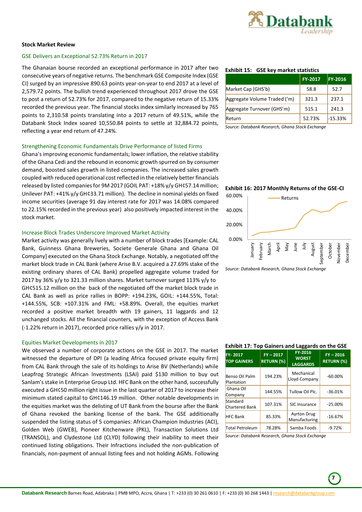

## <span id="page-7-0"></span>**Stock Market Review**

## GSE Delivers an Exceptional 52.73% Return in 2017

The Ghanaian bourse recorded an exceptional performance in 2017 after two consecutive years of negative returns. The benchmark GSE Composite Index (GSE CI) surged by an impressive 890.63 points year-on-year to end 2017 at a level of 2,579.72 points. The bullish trend experienced throughout 2017 drove the GSE to post a return of 52.73% for 2017, compared to the negative return of 15.33% recorded the previous year. The financial stocks index similarly increased by 765 points to 2,310.58 points translating into a 2017 return of 49.51%, while the Databank Stock Index soared 10,550.84 points to settle at 32,884.72 points, reflecting a year end return of 47.24%.

#### Strengthening Economic Fundamentals Drive Performance of listed Firms

Ghana's improving economic fundamentals; lower inflation, the relative stability of the Ghana Cedi and the rebound in economic growth spurred on by consumer demand, boosted sales growth in listed companies. The increased sales growth coupled with reduced operational cost reflected in the relatively better financials released by listed companies for 9M 2017 (GOIL PAT: +18% y/y GH¢57.14 million; Unilever PAT: +41% y/y GH¢33.71 million). The decline in nominal yields on fixed income securities (average 91 day interest rate for 2017 was 14.08% compared to 22.15% recorded in the previous year) also positively impacted interest in the stock market.

## Increase Block Trades Underscore Improved Market Activity

Market activity was generally lively with a number of block trades [Example: CAL Bank, Guinness Ghana Breweries, Societe Generale Ghana and Ghana Oil Company] executed on the Ghana Stock Exchange. Notably, a negotiated off the market block trade in CAL Bank (where Arise B.V. acquired a 27.69% stake of the existing ordinary shares of CAL Bank) propelled aggregate volume traded for 2017 by 36% y/y to 321.33 million shares. Market turnover surged 113% y/y to GH¢515.12 million on the back of the negotiated off the market block trade in CAL Bank as well as price rallies in BOPP: +194.23%, GOIL: +144.55%, Total: +144.55%, SCB: +107.31% and FML: +58.89%. Overall, the equities market recorded a positive market breadth with 19 gainers, 11 laggards and 12 unchanged stocks. All the financial counters, with the exception of Access Bank (-1.22% return in 2017), recorded price rallies y/y in 2017.

## Equities Market Developments in 2017

We observed a number of corporate actions on the GSE in 2017. The market witnessed the departure of DPI (a leading Africa focused private equity firm) from CAL Bank through the sale of its holdings to Arise BV (Netherlands) while Leapfrog Strategic African Investments (LSAI) paid \$130 million to buy out Sanlam's stake in Enterprise Group Ltd. HFC Bank on the other hand, successfully executed a GH¢50 million right issue in the last quarter of 2017 to increase their minimum stated capital to GH¢146.19 million. Other notable developments in the equities market was the delisting of UT Bank from the bourse after the Bank of Ghana revoked the banking license of the bank. The GSE additionally suspended the listing status of 5 companies: African Champion Industries (ACI), Golden Web (GWEB), Pioneer Kitchenware (PKL), Transaction Solutions Ltd (TRANSOL), and Clydestone Ltd (CLYD) following their inability to meet their continued listing obligations. Their Infractions included the non-publication of financials, non-payment of annual listing fees and not holding AGMs. Following

## **Exhibit 15: GSE key market statistics**

|                              | <b>FY-2017</b> | <b>FY-2016</b> |
|------------------------------|----------------|----------------|
| Market Cap (GHS'b)           | 58.8           | 52.7           |
| Aggregate Volume Traded ('m) | 321.3          | 237.1          |
| Aggregate Turnover (GHS'm)   | 515.1          | 241.3          |
| Return                       | 52.73%         | $-15.33%$      |

*Source: Databank Research, Ghana Stock Exchange*

## **Exhibit 16: 2017 Monthly Returns of the GSE-CI**



*Source: Databank Research, Ghana Stock Exchange*

| <b>Exhibit 17: Top Gainers and Laggards on the GSE</b> |                                  |                                            |                                  |
|--------------------------------------------------------|----------------------------------|--------------------------------------------|----------------------------------|
| FY-2017<br><b>TOP GAINERS</b>                          | $FY - 2017$<br><b>RETURN (%)</b> | FY-2016<br><b>WORST</b><br><b>LAGGARDS</b> | $FY - 2016$<br><b>RETURN (%)</b> |
| Benso Oil Palm<br>Plantation                           | 194.23%                          | Mechanical<br>Lloyd Company                | $-60.00%$                        |
| Ghana Oil<br>Company                                   | 144.55%                          | Tullow Oil Plc.                            | $-36.01%$                        |
| Standard<br><b>Chartered Bank</b>                      | 107.31%                          | SIC Insurance                              | $-25.00%$                        |
| <b>HFC</b> Bank                                        | 85.33%                           | <b>Ayrton Drug</b><br>Manufacturing        | $-16.67%$                        |
| <b>Total Petroleum</b>                                 | 78.28%                           | Samba Foods                                | $-9.72%$                         |

*Source: Databank Research, Ghana Stock Exchange* 

 **7**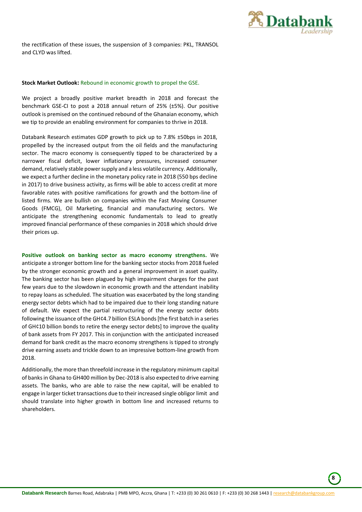

 **8**

the rectification of these issues, the suspension of 3 companies: PKL, TRANSOL and CLYD was lifted.

## **Stock Market Outlook:** Rebound in economic growth to propel the GSE.

We project a broadly positive market breadth in 2018 and forecast the benchmark GSE-CI to post a 2018 annual return of 25% (±5%). Our positive outlook is premised on the continued rebound of the Ghanaian economy, which we tip to provide an enabling environment for companies to thrive in 2018.

Databank Research estimates GDP growth to pick up to 7.8% ±50bps in 2018, propelled by the increased output from the oil fields and the manufacturing sector. The macro economy is consequently tipped to be characterized by a narrower fiscal deficit, lower inflationary pressures, increased consumer demand, relatively stable power supply and a less volatile currency. Additionally, we expect a further decline in the monetary policy rate in 2018 (550 bps decline in 2017) to drive business activity, as firms will be able to access credit at more favorable rates with positive ramifications for growth and the bottom-line of listed firms. We are bullish on companies within the Fast Moving Consumer Goods (FMCG), Oil Marketing, financial and manufacturing sectors. We anticipate the strengthening economic fundamentals to lead to greatly improved financial performance of these companies in 2018 which should drive their prices up.

**Positive outlook on banking sector as macro economy strengthens.** We anticipate a stronger bottom line for the banking sector stocks from 2018 fueled by the stronger economic growth and a general improvement in asset quality. The banking sector has been plagued by high impairment charges for the past few years due to the slowdown in economic growth and the attendant inability to repay loans as scheduled. The situation was exacerbated by the long standing energy sector debts which had to be impaired due to their long standing nature of default. We expect the partial restructuring of the energy sector debts following the issuance of the GH¢4.7 billion ESLA bonds [the first batch in a series of GH¢10 billion bonds to retire the energy sector debts] to improve the quality of bank assets from FY 2017. This in conjunction with the anticipated increased demand for bank credit as the macro economy strengthens is tipped to strongly drive earning assets and trickle down to an impressive bottom-line growth from 2018.

Additionally, the more than threefold increase in the regulatory minimum capital of banks in Ghana to GH400 million by Dec-2018 is also expected to drive earning assets. The banks, who are able to raise the new capital, will be enabled to engage in larger ticket transactions due to their increased single obligor limit and should translate into higher growth in bottom line and increased returns to shareholders.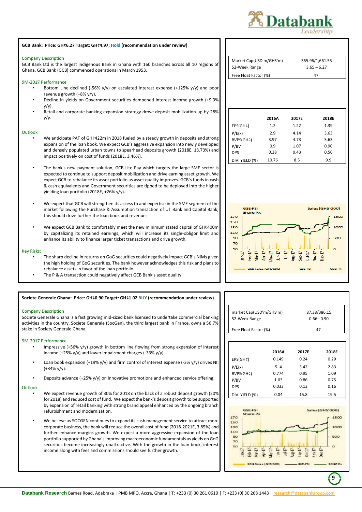



**GCB Bank: Price: GH¢6.27 Target: GH¢4.97; Hold (recommendation under review)**

- Loan book expansion (+19% y/y) and firm control of interest expense (-3% y/y) drives NII (+34% y/y).
- Deposits advance  $(+25\%$  y/y) on innovative promotions and enhanced service offering.

## **Outlook**

- We expect revenue growth of 30% for 2018 on the back of a robust deposit growth (20% for 2018) and reduced cost of fund. We expect the bank's deposit growth to be supported by expansion of retail banking with strong brand appeal enhanced by the ongoing branch refurbishment and modernization.
- We believe as SOCGEN continues to expand its cash management service to attract more corporate business, the bank will reduce the overall cost of fund (2018-2021E, 3.85%) and further enhance margins growth. We expect a more aggressive expansion of the loan portfolio supported by Ghana's improving macroeconomic fundamentals as yields on GoG securities become increasingly unattractive. With the growth in the loan book, interest income along with fees and commissions should see further growth.

| Market Cap(USD'm/GHS'm) | 365.96/1,661.55 |
|-------------------------|-----------------|
| 52-Week Range           | $3.65 - 6.27$   |
| Free Float Factor (%)   | Δ7              |

|                | 2016A | 2017E | 2018E |
|----------------|-------|-------|-------|
| EPS(GH¢)       | 1.2   | 1.22  | 1.39  |
| P/E(x)         | 2.9   | 4.14  | 3.63  |
| BVPS(GH¢)      | 3.97  | 4.73  | 5.63  |
| P/BV           | 0.9   | 1.07  | 0.90  |
| <b>DPS</b>     | 0.38  | 0.43  | 0.50  |
| DIV. YIELD (%) | 10.76 | 8.5   | 9.9   |



| market Cap(USD'm/GHS'm)<br>52-Week Range |       | 87.38/386.15<br>$0.66 - 0.90$ |       |
|------------------------------------------|-------|-------------------------------|-------|
| Free Float Factor (%)                    |       | 47                            |       |
|                                          |       |                               |       |
|                                          | 2016A | 2017E                         | 2018E |
| EPS(GH¢)                                 | 0.149 | 0.24                          | 0.29  |
| P/E(x)                                   | 5.4   | 3.42                          | 2.83  |
| BVPS(GH¢)                                | 0.774 | 0.95                          | 1.09  |
| P/BV                                     | 1.03  | 0.86                          | 0.75  |
| <b>DPS</b>                               | 0.033 | 0.13                          | 0.16  |



DIV. YIELD (%) 0.04 15.8 19.5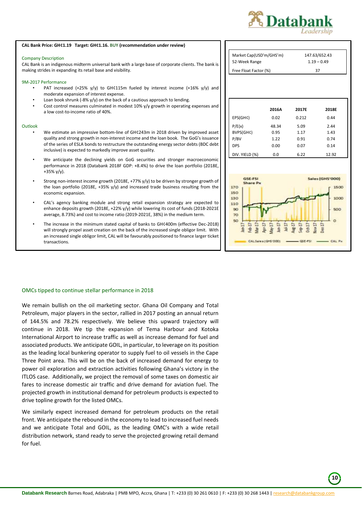

#### **CAL Bank Price: GH¢1.19 Target: GH¢1.16. BUY (recommendation under review)**

#### Company Description

CAL Bank is an indigenous midterm universal bank with a large base of corporate clients. The bank is making strides in expanding its retail base and visibility.

#### 9M-2017 Performance

- PAT increased (+25% y/y) to GH¢115m fueled by interest income (+16% y/y) and moderate expansion of interest expense.
- Loan book shrunk (-8%  $y/y$ ) on the back of a cautious approach to lending.
- Cost control measures culminated in modest 10% y/y growth in operating expenses and a low cost-to-income ratio of 40%.

#### **Outlook**

- We estimate an impressive bottom-line of GH¢243m in 2018 driven by improved asset quality and strong growth in non-interest income and the loan book. The GoG's issuance of the series of ESLA bonds to restructure the outstanding energy sector debts (BDC debt inclusive) is expected to markedly improve asset quality.
- We anticipate the declining yields on GoG securities and stronger macroeconomic performance in 2018 (Databank 2018F GDP: +8.4%) to drive the loan portfolio (2018E, +35% y/y).
- Strong non-interest income growth (2018E, +77% y/y) to be driven by stronger growth of the loan portfolio (2018E, +35% y/y) and increased trade business resulting from the economic expansion.
- CAL's agency banking module and strong retail expansion strategy are expected to enhance deposits growth (2018E, +22% y/y) while lowering its cost of funds (2018-2021E average, 8.73%) and cost to income ratio (2019-2021E, 38%) in the medium term.
- The increase in the minimum stated capital of banks to GH¢400m (effective Dec-2018) will strongly propel asset creation on the back of the increased single obligor limit. With an increased single obligor limit, CAL will be favourably positioned to finance larger ticket transactions.

| Market Cap(USD'm/GHS'm) | 147.63/652.43 |  |
|-------------------------|---------------|--|
| 52-Week Range           | $1.19 - 0.49$ |  |
| Free Float Factor (%)   | 37            |  |

|                | 2016A | 2017E | 2018E |
|----------------|-------|-------|-------|
|                |       |       |       |
| EPS(GH¢)       | 0.02  | 0.212 | 0.44  |
| P/E(x)         | 48.34 | 5.09  | 2.44  |
| BVPS(GH¢)      | 0.95  | 1.17  | 1.43  |
| P/BV           | 1.22  | 0.91  | 0.74  |
| <b>DPS</b>     | 0.00  | 0.07  | 0.14  |
| DIV. YIELD (%) | 0.0   | 6.22  | 12.92 |



## OMCs tipped to continue stellar performance in 2018

We remain bullish on the oil marketing sector. Ghana Oil Company and Total Petroleum, major players in the sector, rallied in 2017 posting an annual return of 144.5% and 78.2% respectively. We believe this upward trajectory will continue in 2018. We tip the expansion of Tema Harbour and Kotoka International Airport to increase traffic as well as increase demand for fuel and associated products. We anticipate GOIL, in particular, to leverage on its position as the leading local bunkering operator to supply fuel to oil vessels in the Cape Three Point area. This will be on the back of increased demand for energy to power oil exploration and extraction activities following Ghana's victory in the ITLOS case. Additionally, we project the removal of some taxes on domestic air fares to increase domestic air traffic and drive demand for aviation fuel. The projected growth in institutional demand for petroleum products is expected to drive topline growth for the listed OMCs.

We similarly expect increased demand for petroleum products on the retail front. We anticipate the rebound in the economy to lead to increased fuel needs and we anticipate Total and GOIL, as the leading OMC's with a wide retail distribution network, stand ready to serve the projected growing retail demand for fuel.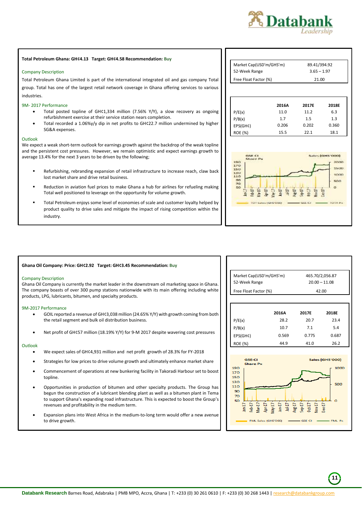

#### **Total Petroleum Ghana: GH¢4.13 Target: GH¢4.58 Recommendation: Buy**

#### Company Description

Total Petroleum Ghana Limited is part of the international integrated oil and gas company Total group. Total has one of the largest retail network coverage in Ghana offering services to various industries.

#### 9M- 2017 Performance

- Total posted topline of GH¢1,334 million (7.56% Y/Y), a slow recovery as ongoing refurbishment exercise at their service station nears completion.
- Total recorded a 1.06%y/y dip in net profits to GH¢22.7 million undermined by higher SG&A expenses.

#### Outlook

We expect a weak short-term outlook for earnings growth against the backdrop of the weak topline and the persistent cost pressures. However, we remain optimistic and expect earnings growth to average 13.4% for the next 3 years to be driven by the following;

- Refurbishing, rebranding expansion of retail infrastructure to increase reach, claw back lost market share and drive retail business.
- Reduction in aviation fuel prices to make Ghana a hub for airlines for refueling making Total well positioned to leverage on the opportunity for volume growth.
- Total Petroleum enjoys some level of economies of scale and customer loyalty helped by product quality to drive sales and mitigate the impact of rising competition within the industry.

| Market Cap(USD'm/GHS'm) | 89.41/394.92  |
|-------------------------|---------------|
| 52-Week Range           | $3.65 - 1.97$ |
| Free Float Factor (%)   | 21.00         |

|                | 2016A | 2017E | 2018E |
|----------------|-------|-------|-------|
| P/E(x)         | 11.0  | 11.2  | 6.3   |
| P/B(x)         | 1.7   | 1.5   | 1.3   |
| EPS(GH¢)       | 0.206 | 0.202 | 0.360 |
| <b>ROE</b> (%) | 15.5  | 22.1  | 18.1  |



#### **Ghana Oil Company: Price: GH¢2.92 Target: GH¢3.45 Recommendation: Buy**

#### Company Description

Ghana Oil Company is currently the market leader in the downstream oil marketing space in Ghana. The company boasts of over 300 pump stations nationwide with its main offering including white products, LPG, lubricants, bitumen, and specialty products.

#### 9M-2017 Performance

- GOIL reported a revenue of GH¢3,038 million (24.65% Y/Y) with growth coming from both the retail segment and bulk oil distribution business.
- Net profit of GH¢57 million (18.19% Y/Y) for 9-M 2017 despite wavering cost pressures

## Outlook

- We expect sales of GH¢4,931 million and net profit growth of 28.3% for FY-2018
- Strategies for low prices to drive volume growth and ultimately enhance market share
- Commencement of operations at new bunkering facility in Takoradi Harbour set to boost topline.
- Opportunities in production of bitumen and other specialty products. The Group has begun the construction of a lubricant blending plant as well as a bitumen plant in Tema to support Ghana's expanding road infrastructure. This is expected to boost the Group's revenues and profitability in the medium term.
- Expansion plans into West Africa in the medium-to-long term would offer a new avenue to drive growth.

| 465.70/2,056.87 |
|-----------------|
| $20.00 - 11.08$ |
| 42.00           |
|                 |

|                | 2016A | 2017E | 2018E |
|----------------|-------|-------|-------|
| P/E(x)         | 28.2  | 20.7  | 23.4  |
| P/B(x)         | 10.7  | 7.1   | 5.4   |
| EPS(GH¢)       | 0.569 | 0.775 | 0.687 |
| <b>ROE</b> (%) | 44.9  | 41.0  | 26.2  |



 **11**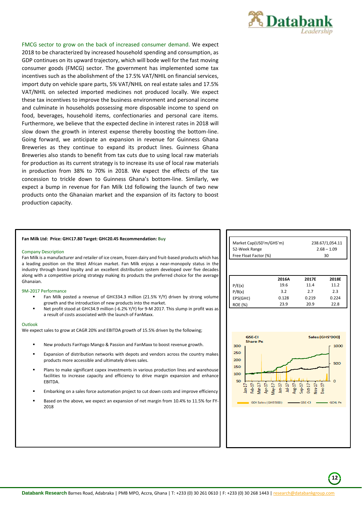

FMCG sector to grow on the back of increased consumer demand. We expect 2018 to be characterized by increased household spending and consumption, as GDP continues on its upward trajectory, which will bode well for the fast moving consumer goods (FMCG) sector. The government has implemented some tax incentives such as the abolishment of the 17.5% VAT/NHIL on financial services, import duty on vehicle spare parts, 5% VAT/NHIL on real estate sales and 17.5% VAT/NHIL on selected imported medicines not produced locally. We expect these tax incentives to improve the business environment and personal income and culminate in households possessing more disposable income to spend on food, beverages, household items, confectionaries and personal care items. Furthermore, we believe that the expected decline in interest rates in 2018 will slow down the growth in interest expense thereby boosting the bottom-line. Going forward, we anticipate an expansion in revenue for Guinness Ghana Breweries as they continue to expand its product lines. Guinness Ghana Breweries also stands to benefit from tax cuts due to using local raw materials for production as its current strategy is to increase its use of local raw materials in production from 38% to 70% in 2018. We expect the effects of the tax concession to trickle down to Guinness Ghana's bottom-line. Similarly, we expect a bump in revenue for Fan Milk Ltd following the launch of two new products onto the Ghanaian market and the expansion of its factory to boost production capacity.

#### **Fan Milk Ltd: Price: GH¢17.80 Target: GH¢20.45 Recommendation: Buy**

#### Company Description

Fan Milk is a manufacturer and retailer of ice cream, frozen dairy and fruit-based products which has a leading position on the West African market. Fan Milk enjoys a near-monopoly status in the industry through brand loyalty and an excellent distribution system developed over five decades along with a competitive pricing strategy making its products the preferred choice for the average Ghanaian.

#### 9M-2017 Performance

- Fan Milk posted a revenue of GH¢334.3 million (21.5% Y/Y) driven by strong volume growth and the introduction of new products into the market.
- Net profit stood at GH¢34.9 million (-6.2% Y/Y) for 9-M 2017. This slump in profit was as a result of costs associated with the launch of FanMaxx.

#### Outlook

We expect sales to grow at CAGR 20% and EBITDA growth of 15.5% driven by the following;

- New products FanYogo Mango & Passion and FanMaxx to boost revenue growth.
- Expansion of distribution networks with depots and vendors across the country makes products more accessible and ultimately drives sales.
- Plans to make significant capex investments in various production lines and warehouse facilities to increase capacity and efficiency to drive margin expansion and enhance **EBITDA**
- Embarking on a sales force automation project to cut down costs and improve efficiency
- Based on the above, we expect an expansion of net margin from 10.4% to 11.5% for FY-2018

| Market Cap(USD'm/GHS'm)<br>52-Week Range<br>Free Float Factor (%) |               | 238.67/1,054.11<br>$2.68 - 1.09$<br>30 |                            |
|-------------------------------------------------------------------|---------------|----------------------------------------|----------------------------|
| P/E(x)                                                            | 2016A<br>19.6 | 2017E<br>11.4                          | 2018E<br>11.2              |
| P/B(x)                                                            | 3.2           | 2.7                                    | 2.3                        |
| EPS(GH¢)                                                          | 0.128         | 0.219                                  | 0.224                      |
| <b>ROE (%)</b>                                                    | 23.9          | 20.9                                   | 22.8                       |
|                                                                   |               |                                        |                            |
| <b>GSE-CI</b><br><b>Share Px</b><br>300<br>$\mathbf{r}$           |               |                                        | Sales (GHS'000)<br>$-1000$ |



 **12**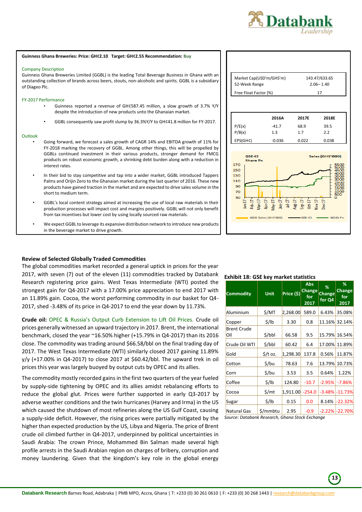

#### **Guinness Ghana Breweries: Price: GH¢2.10 Target: GH¢2.55 Recommendation: Buy**

#### Company Description

Guinness Ghana Breweries Limited (GGBL) is the leading Total Beverage Business in Ghana with an outstanding collection of brands across beers, stouts, non-alcoholic and spirits. GGBL is a subsidiary of Diageo Plc.

#### FY-2017 Performance

- Guinness reported a revenue of GH¢587.45 million, a slow growth of 3.7% Y/Y despite the introduction of new products unto the Ghanaian market.
- GGBL consequently saw profit slump by 36.3%Y/Y to GH¢41.8 million for FY-2017.

#### **Outlook**

- Going forward, we forecast a sales growth of CAGR 14% and EBITDA growth of 11% for FY-2018 marking the recovery of GGBL. Among other things, this will be propelled by GGBLs continued investment in their various products, stronger demand for FMCG products on robust economic growth, a shrinking debt burden along with a reduction in interest rates.
- In their bid to stay competitive and tap into a wider market, GGBL introduced Tappers Palms and Orijin Zero to the Ghanaian market during the last quarter of 2016. These new products have gained traction in the market and are expected to drive sales volume in the short to medium term.
- GGBL's local content strategy aimed at increasing the use of local raw materials in their production processes will impact cost and margins positively. GGBL will not only benefit from tax incentives but lower cost by using locally sourced raw materials.
- We expect GGBL to leverage its expansive distribution network to introduce new products in the beverage market to drive growth.

## <span id="page-13-0"></span>**Review of Selected Globally Traded Commodities**

The global commodities market recorded a general uptick in prices for the year 2017, with seven (7) out of the eleven (11) commodities tracked by Databank Research registering price gains. West Texas Intermediate (WTI) posted the strongest gain for Q4-2017 with a 17.00% price appreciation to end 2017 with an 11.89% gain. Cocoa, the worst performing commodity in our basket for Q4- 2017, shed -3.48% of its price in Q4-2017 to end the year down by 11.73%.

**Crude oil:** OPEC & Russia's Output Curb Extension to Lift Oil Prices. Crude oil prices generally witnessed an upward trajectory in 2017. Brent, the international benchmark, closed the year ~16.50% higher (+15.79% in Q4-2017) than its 2016 close. The commodity was trading around \$66.58/bbl on the final trading day of 2017. The West Texas Intermediate (WTI) similarly closed 2017 gaining 11.89% y/y (+17.00% in Q4-2017) to close 2017 at \$60.42/bbl. The upward trek in oil prices this year was largely buoyed by output cuts by OPEC and its allies.

The commodity mostly recorded gains in the first two quarters of the year fueled by supply-side tightening by OPEC and its allies amidst rebalancing efforts to reduce the global glut. Prices were further supported in early Q3-2017 by adverse weather conditions and the twin hurricanes (Harvey and Irma) in the US which caused the shutdown of most refineries along the US Gulf Coast, causing a supply-side deficit. However, the rising prices were partially mitigated by the higher than expected production by the US, Libya and Nigeria. The price of Brent crude oil climbed further in Q4-2017, underpinned by political uncertainties in Saudi Arabia: The crown Prince, Mohammed Bin Salman made several high profile arrests in the Saudi Arabian region on charges of bribery, corruption and money laundering. Given that the kingdom's key role in the global energy

| Market Cap(USD'm/GHS'm)<br>52-Week Range | 143.47/633.65<br>$2.06 - 1.40$ |
|------------------------------------------|--------------------------------|
| Free Float Factor (%)                    | 17                             |

|          | 2016A    | 2017E | 2018E |
|----------|----------|-------|-------|
| P/E(x)   | $-41.7$  | 68.9  | 39.5  |
| P/B(x)   | 1.3      | 1.7   | 2.2   |
| EPS(GH¢) | $-0.036$ | 0.022 | 0.038 |



## **Exhibit 18: GSE key market statistics**

| <b>Commodity</b>          | <b>Unit</b> | Price (\$) | Abs<br><b>Change</b><br>for<br>2017 | %<br><b>Change</b><br>for Q4 | %<br>Change<br>for<br>2017 |
|---------------------------|-------------|------------|-------------------------------------|------------------------------|----------------------------|
| Aluminium                 | \$/MT       | 2,268.00   | 589.0                               | 6.43%                        | 35.08%                     |
| Copper                    | \$/lb       | 3.30       | 0.8                                 | 11.16%                       | 32.14%                     |
| <b>Brent Crude</b><br>Oil | \$/bbl      | 66.58      | 9.5                                 | 15.79%                       | 16.54%                     |
| Crude Oil WTI             | \$/bbl      | 60.42      | 6.4                                 | 17.00%                       | 11.89%                     |
| Gold                      | \$/t oz.    | 1,298.30   | 137.8                               | 0.56%                        | 11.87%                     |
| Cotton                    | \$/bu       | 78.63      | 7.6                                 | 13.79%                       | 10.73%                     |
| Corn                      | \$/bu       | 3.53       | 3.5                                 | 0.64%                        | 1.22%                      |
| Coffee                    | \$/lb       | 124.80     | $-10.7$                             | $-2.95%$                     | $-7.86%$                   |
| Cocoa                     | \$/mt       | 1,911.00   | $-254.0$                            | $-3.48%$                     | $-11.73%$                  |
| Sugar                     | \$/lb       | 0.15       | 0.0                                 | 8.14%                        | $-22.32%$                  |
| <b>Natural Gas</b>        | \$/mmbtu    | 2.95       | $-0.9$                              |                              | $-2.22\%$ $-22.70\%$       |

*Source: Databank Research, Ghana Stock Exchange*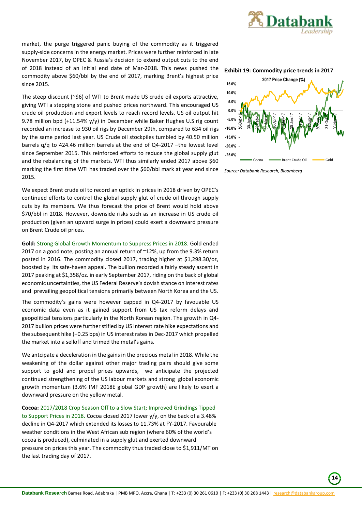

market, the purge triggered panic buying of the commodity as it triggered supply-side concerns in the energy market. Prices were further reinforced in late November 2017, by OPEC & Russia's decision to extend output cuts to the end of 2018 instead of an initial end date of Mar-2018. This news pushed the commodity above \$60/bbl by the end of 2017, marking Brent's highest price since 2015.

The steep discount (~\$6) of WTI to Brent made US crude oil exports attractive, giving WTI a stepping stone and pushed prices northward. This encouraged US crude oil production and export levels to reach record levels. US oil output hit 9.78 million bpd (+11.54% y/y) in December while Baker Hughes U.S rig count recorded an increase to 930 oil rigs by December 29th, compared to 634 oil rigs by the same period last year. US Crude oil stockpiles tumbled by 40.50 million barrels q/q to 424.46 million barrels at the end of Q4-2017 –the lowest level since September 2015. This reinforced efforts to reduce the global supply glut and the rebalancing of the markets. WTI thus similarly ended 2017 above \$60 marking the first time WTI has traded over the \$60/bbl mark at year end since 2015.

We expect Brent crude oil to record an uptick in prices in 2018 driven by OPEC's continued efforts to control the global supply glut of crude oil through supply cuts by its members. We thus forecast the price of Brent would hold above \$70/bbl in 2018. However, downside risks such as an increase in US crude oil production (given an upward surge in prices) could exert a downward pressure on Brent Crude oil prices.

**Gold:** Strong Global Growth Momentum to Suppress Prices in 2018. Gold ended 2017 on a good note, posting an annual return of ~12%, up from the 9.3% return posted in 2016. The commodity closed 2017, trading higher at \$1,298.30/oz, boosted by its safe-haven appeal. The bullion recorded a fairly steady ascent in 2017 peaking at \$1,358/oz. in early September 2017, riding on the back of global economic uncertainties, the US Federal Reserve's dovish stance on interest rates and prevailing geopolitical tensions primarily between North Korea and the US.

The commodity's gains were however capped in Q4-2017 by favouable US economic data even as it gained support from US tax reform delays and geopolitical tensions particularly in the North Korean region. The growth in Q4- 2017 bullion prices were further stifled by US interest rate hike expectations and the subsequent hike (+0.25 bps) in US interest rates in Dec-2017 which propelled the market into a selloff and trimed the metal's gains.

We antcipate a deceleration in the gains in the precious metal in 2018. While the weakening of the dollar against other major trading pairs should give some support to gold and propel prices upwards, we anticipate the projected continued strengthening of the US labour markets and strong global economic growth momentum (3.6% IMF 2018E global GDP growth) are likely to exert a downward pressure on the yellow metal.

**Cocoa:** 2017/2018 Crop Season Off to a Slow Start; Improved Grindings Tipped to Support Prices in 2018. Cocoa closed 2017 lower y/y, on the back of a 3.48% decline in Q4-2017 which extended its losses to 11.73% at FY-2017. Favourable weather conditions in the West African sub region (where 60% of the world's cocoa is produced), culminated in a supply glut and exerted downward pressure on prices this year. The commodity thus traded close to \$1,911/MT on the last trading day of 2017.





*Source: Databank Research, Bloomberg*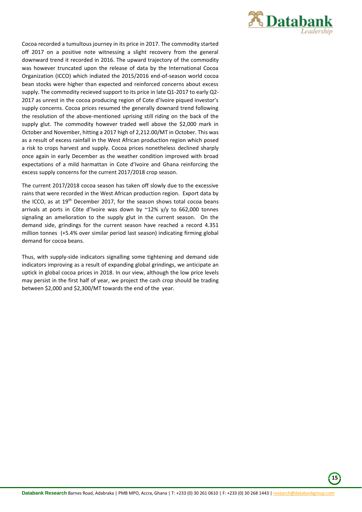

Cocoa recorded a tumultous journey in its price in 2017. The commodity started off 2017 on a positive note witnessing a slight recovery from the general downward trend it recorded in 2016. The upward trajectory of the commodity was however truncated upon the release of data by the International Cocoa Organization (ICCO) which indiated the 2015/2016 end-of-season world cocoa bean stocks were higher than expected and reinforced concerns about excess supply. The commodity recieved support to its price in late Q1-2017 to early Q2- 2017 as unrest in the cocoa producing region of Cote d'Ivoire piqued investor's supply concerns. Cocoa prices resumed the generally downard trend following the resolution of the above-mentioned uprising still riding on the back of the supply glut. The commodity however traded well above the \$2,000 mark in October and November, hitting a 2017 high of 2,212.00/MT in October. This was as a result of excess rainfall in the West African production region which posed a risk to crops harvest and supply. Cocoa prices nonetheless declined sharply once again in early December as the weather condition improved with broad expectations of a mild harmattan in Cote d'Ivoire and Ghana reinforcing the excess supply concerns for the current 2017/2018 crop season.

The current 2017/2018 cocoa season has taken off slowly due to the excessive rains that were recorded in the West African production region. Export data by the ICCO, as at 19th December 2017, for the season shows total cocoa beans arrivals at ports in Côte d'Ivoire was down by  $\sim$ 12% y/y to 662,000 tonnes signaling an amelioration to the supply glut in the current season. On the demand side, grindings for the current season have reached a record 4.351 million tonnes (+5.4% over similar period last season) indicating firming global demand for cocoa beans.

Thus, with supply-side indicators signalling some tightening and demand side indicators improving as a result of expanding global grindings, we anticipate an uptick in global cocoa prices in 2018. In our view, although the low price levels may persist in the first half of year, we project the cash crop should be trading between \$2,000 and \$2,300/MT towards the end of the year.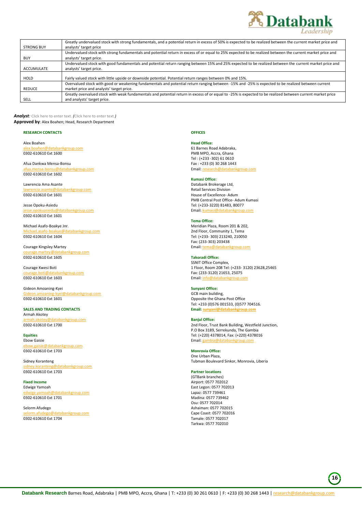

|                   | Greatly undervalued stock with strong fundamentals, and a potential return in excess of 50% is expected to be realized between the current market price and |
|-------------------|-------------------------------------------------------------------------------------------------------------------------------------------------------------|
| <b>STRONG BUY</b> | analysts' target price                                                                                                                                      |
|                   | Undervalued stock with strong fundamentals and potential return in excess of or equal to 25% expected to be realized between the current market price and   |
| <b>BUY</b>        | analysts' target price.                                                                                                                                     |
|                   | Undervalued stock with good fundamentals and potential return ranging between 15% and 25% expected to be realized between the current market price and      |
| ACCUMULATE        | analysts' target price.                                                                                                                                     |
|                   |                                                                                                                                                             |
|                   |                                                                                                                                                             |
| HOLD              | Fairly valued stock with little upside or downside potential. Potential return ranges between 0% and 15%.                                                   |
|                   | Overvalued stock with good or weakening fundamentals and potential return ranging between -15% and -25% is expected to be realized between current          |
| <b>REDUCE</b>     | market price and analysts' target price.                                                                                                                    |
|                   | Greatly overvalued stock with weak fundamentals and potential return in excess of or equal to -25% is expected to be realized between current market price  |

*Analyst:* Click here to enter text. *(*Click here to enter text.*)*  **Approved by**: Alex Boahen; Head, Research Department

#### **RESEARCH CONTACTS**

Alex Boahen atabankgroup.com 0302-610610 Ext 1600

Afua Dankwa Mensa-Bonsu nsa-bonsu@databankgroup.com 0302-610610 Ext 1602

Lawrencia Ama Asante asante@databankgroup.com 0302-610610 Ext 1601

Jesse Opoku-Asiedu databankgroup.com 0302-610610 Ext 1601

Michael Asafo-Boakye Jnr. databankgroup.com 0302-610610 Ext 1604

Courage Kingsley Martey kgroup.com 0302-610610 Ext 1605

Courage Kwesi Boti nkgroup.com 0302-610610 Ext 1603

Gideon Amoaning-Kyei databankgroup.com 0302-610610 Ext 1601

**SALES AND TRADING CONTACTS** Armah Akotey tabankgroup.com 0302-610610 Ext 1700

**Equities** Ebow Gaisie gaisie@databankgroup.com 0302-610610 Ext 1703

Sidney Koranteng atabankgroup.com 0302-610610 Ext 1703

**Fixed Income** Edwige Yamoah @databankgroup.com 0302-610610 Ext 1701

Selorm Afudego lorm.afudego@databankgroup.com 0302-610610 Ext 1704

**OFFICES**

## **Head Office:**

61 Barnes Road Adabraka, PMB MPO, Accra, Ghana Tel : (+233 -302) 61 0610 Fax : +233 (0) 30 268 1443<br>Email: research@databank Email[: research@databankgroup.com](mailto:research@databankgroup.com)

#### **Kumasi Office:**

Databank Brokerage Ltd, Retail Services Division House of Excellence- Adum PMB Central Post Office- Adum Kumasi Tel: (+233-3220) 81483, 80077 Email[: kumasi@databankgroup.com](mailto:kumasi@databankgroup.com)

#### **Tema Office:**

Meridian Plaza, Room 201 & 202, 2nd Floor, Community 1, Tema Tel: (+233- 303) 213240, 210050 Fax: (233-303) 203438 Email[: tema@databankgroup.com](mailto:tema@databankgroup.com)

## **Takoradi Office:**

SSNIT Office Complex, 1 Floor, Room 208 Tel: (+233- 3120) 23628,25465 Fax: (233-3120) 21653, 25075 Email[: info@databankgroup.com](mailto:info@databankgroup.com)

### **Sunyani Office:**

GCB main building, Opposite the Ghana Post Office Tel: +233 (0)576 001533, (0)577 704516. **Email[: sunyani@databankgroup.com](mailto:sunyani@databankgroup.com)**

#### **Banjul Office:**

2nd Floor, Trust Bank Building, Westfield Junction, P.O Box 3189, Serrekunda, The Gambia Tel: (+220) 4378014, Fax: (+220) 4378016 Email: gai

**Monrovia Office:** One Urban Plaza, Tubman Boulevard Sinkor, Monrovia, Liberia

#### **Partner locations**

(GTBank branches) Airport: 0577 702012 East Legon: 0577 702013 Lapaz: 0577 739461 Madina: 0577 739462 Osu: 0577 702014 Ashaiman: 0577 702015 Cape Coast: 0577 702016 Tamale: 0577 702017 Tarkwa: 0577 702010